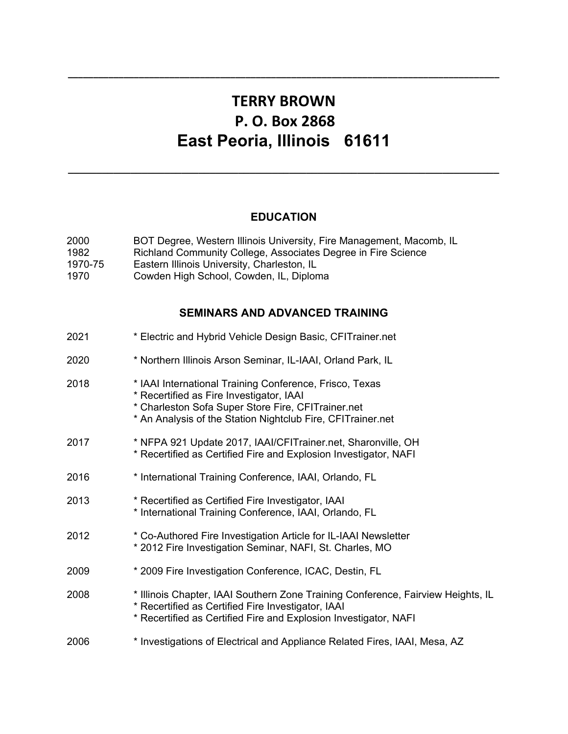## **TERRY BROWN P. O. Box 2868 East Peoria, Illinois 61611**

**\_\_\_\_\_\_\_\_\_\_\_\_\_\_\_\_\_\_\_\_\_\_\_\_\_\_\_\_\_\_\_\_\_\_\_\_\_\_\_\_\_\_\_\_\_\_\_\_\_\_\_\_\_\_\_\_\_\_\_\_\_\_\_\_\_\_\_\_\_\_\_\_\_\_\_\_\_\_\_\_\_\_\_\_\_**

## **EDUCATION**

**\_\_\_\_\_\_\_\_\_\_\_\_\_\_\_\_\_\_\_\_\_\_\_\_\_\_\_\_\_\_\_\_\_\_\_\_\_\_\_\_\_\_\_\_\_\_\_\_\_\_\_\_\_\_\_\_\_\_\_\_\_\_\_\_\_\_\_\_\_\_\_\_\_\_\_\_**

| 2000<br>1982<br>1970-75<br>1970 | BOT Degree, Western Illinois University, Fire Management, Macomb, IL<br>Richland Community College, Associates Degree in Fire Science<br>Eastern Illinois University, Charleston, IL<br>Cowden High School, Cowden, IL, Diploma |
|---------------------------------|---------------------------------------------------------------------------------------------------------------------------------------------------------------------------------------------------------------------------------|
|                                 | <b>SEMINARS AND ADVANCED TRAINING</b>                                                                                                                                                                                           |
| 2021                            | * Electric and Hybrid Vehicle Design Basic, CFITrainer.net                                                                                                                                                                      |
| 2020                            | * Northern Illinois Arson Seminar, IL-IAAI, Orland Park, IL                                                                                                                                                                     |
| 2018                            | * IAAI International Training Conference, Frisco, Texas<br>* Recertified as Fire Investigator, IAAI<br>* Charleston Sofa Super Store Fire, CFITrainer.net<br>* An Analysis of the Station Nightclub Fire, CFITrainer.net        |
| 2017                            | * NFPA 921 Update 2017, IAAI/CFITrainer.net, Sharonville, OH<br>* Recertified as Certified Fire and Explosion Investigator, NAFI                                                                                                |
| 2016                            | * International Training Conference, IAAI, Orlando, FL                                                                                                                                                                          |
| 2013                            | * Recertified as Certified Fire Investigator, IAAI<br>* International Training Conference, IAAI, Orlando, FL                                                                                                                    |
| 2012                            | * Co-Authored Fire Investigation Article for IL-IAAI Newsletter<br>* 2012 Fire Investigation Seminar, NAFI, St. Charles, MO                                                                                                     |
| 2009                            | * 2009 Fire Investigation Conference, ICAC, Destin, FL                                                                                                                                                                          |
| 2008                            | * Illinois Chapter, IAAI Southern Zone Training Conference, Fairview Heights, IL<br>* Recertified as Certified Fire Investigator, IAAI<br>* Recertified as Certified Fire and Explosion Investigator, NAFI                      |
| 2006                            | * Investigations of Electrical and Appliance Related Fires, IAAI, Mesa, AZ                                                                                                                                                      |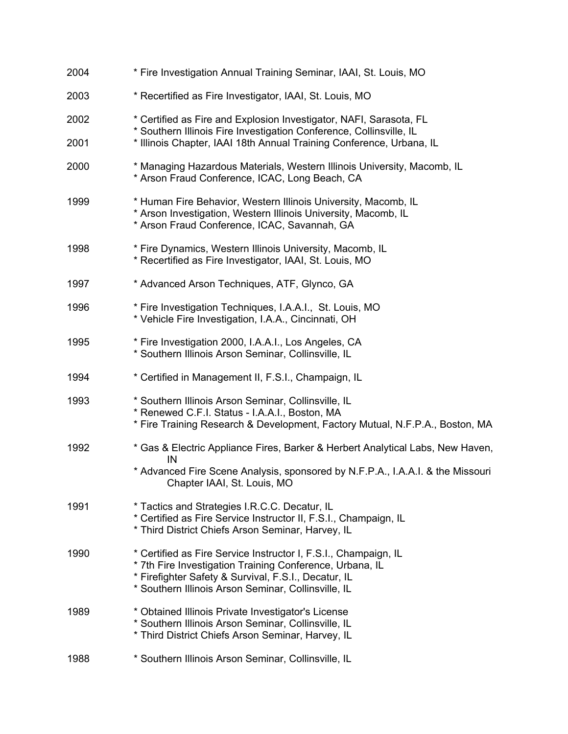| 2004 | * Fire Investigation Annual Training Seminar, IAAI, St. Louis, MO                                                                                                                                                                          |
|------|--------------------------------------------------------------------------------------------------------------------------------------------------------------------------------------------------------------------------------------------|
| 2003 | * Recertified as Fire Investigator, IAAI, St. Louis, MO                                                                                                                                                                                    |
| 2002 | * Certified as Fire and Explosion Investigator, NAFI, Sarasota, FL<br>* Southern Illinois Fire Investigation Conference, Collinsville, IL                                                                                                  |
| 2001 | * Illinois Chapter, IAAI 18th Annual Training Conference, Urbana, IL                                                                                                                                                                       |
| 2000 | * Managing Hazardous Materials, Western Illinois University, Macomb, IL<br>* Arson Fraud Conference, ICAC, Long Beach, CA                                                                                                                  |
| 1999 | * Human Fire Behavior, Western Illinois University, Macomb, IL<br>* Arson Investigation, Western Illinois University, Macomb, IL<br>* Arson Fraud Conference, ICAC, Savannah, GA                                                           |
| 1998 | * Fire Dynamics, Western Illinois University, Macomb, IL<br>* Recertified as Fire Investigator, IAAI, St. Louis, MO                                                                                                                        |
| 1997 | * Advanced Arson Techniques, ATF, Glynco, GA                                                                                                                                                                                               |
| 1996 | * Fire Investigation Techniques, I.A.A.I., St. Louis, MO<br>* Vehicle Fire Investigation, I.A.A., Cincinnati, OH                                                                                                                           |
| 1995 | * Fire Investigation 2000, I.A.A.I., Los Angeles, CA<br>* Southern Illinois Arson Seminar, Collinsville, IL                                                                                                                                |
| 1994 | * Certified in Management II, F.S.I., Champaign, IL                                                                                                                                                                                        |
| 1993 | * Southern Illinois Arson Seminar, Collinsville, IL<br>* Renewed C.F.I. Status - I.A.A.I., Boston, MA<br>* Fire Training Research & Development, Factory Mutual, N.F.P.A., Boston, MA                                                      |
| 1992 | * Gas & Electric Appliance Fires, Barker & Herbert Analytical Labs, New Haven,<br>IN<br>* Advanced Fire Scene Analysis, sponsored by N.F.P.A., I.A.A.I. & the Missouri<br>Chapter IAAI, St. Louis, MO                                      |
| 1991 | * Tactics and Strategies I.R.C.C. Decatur, IL<br>* Certified as Fire Service Instructor II, F.S.I., Champaign, IL<br>* Third District Chiefs Arson Seminar, Harvey, IL                                                                     |
| 1990 | * Certified as Fire Service Instructor I, F.S.I., Champaign, IL<br>* 7th Fire Investigation Training Conference, Urbana, IL<br>* Firefighter Safety & Survival, F.S.I., Decatur, IL<br>* Southern Illinois Arson Seminar, Collinsville, IL |
| 1989 | * Obtained Illinois Private Investigator's License<br>* Southern Illinois Arson Seminar, Collinsville, IL<br>* Third District Chiefs Arson Seminar, Harvey, IL                                                                             |
| 1988 | * Southern Illinois Arson Seminar, Collinsville, IL                                                                                                                                                                                        |
|      |                                                                                                                                                                                                                                            |